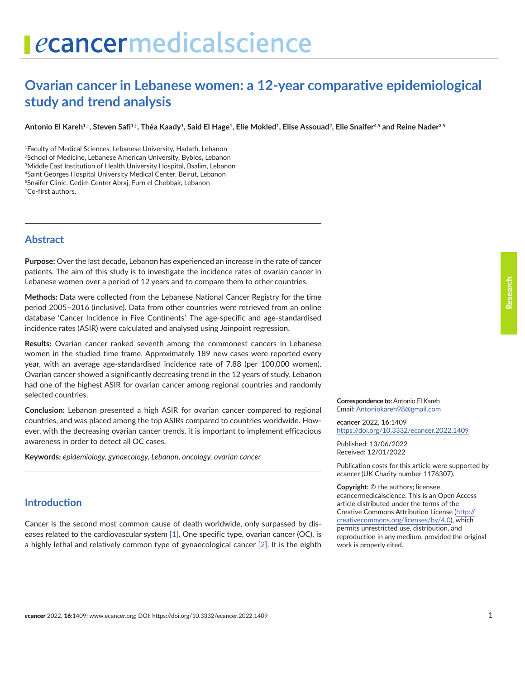# **Ovarian cancer in Lebanese women: a 12-year comparative epidemiological study and trend analysis**

**Antonio El Kareh1,†, Steven Safi1,†, Théa Kaady1, Said El Hage1, Elie Mokled1, Elise Assouad2, Elie Snaifer4,5 and Reine Nader3,5**

1Faculty of Medical Sciences, Lebanese University, Hadath, Lebanon 2School of Medicine, Lebanese American University, Byblos, Lebanon 3Middle East Institution of Health University Hospital, Bsalim, Lebanon 4Saint Georges Hospital University Medical Center, Beirut, Lebanon 5Snaifer Clinic, Cedim Center Abraj, Furn el Chebbak, Lebanon †Co-first authors.

## **Abstract**

**Purpose:** Over the last decade, Lebanon has experienced an increase in the rate of cancer patients. The aim of this study is to investigate the incidence rates of ovarian cancer in Lebanese women over a period of 12 years and to compare them to other countries.

**Methods:** Data were collected from the Lebanese National Cancer Registry for the time period 2005–2016 (inclusive). Data from other countries were retrieved from an online database 'Cancer Incidence in Five Continents'. The age-specific and age-standardised incidence rates (ASIR) were calculated and analysed using Joinpoint regression.

**Results:** Ovarian cancer ranked seventh among the commonest cancers in Lebanese women in the studied time frame. Approximately 189 new cases were reported every year, with an average age-standardised incidence rate of 7.88 (per 100,000 women). Ovarian cancer showed a significantly decreasing trend in the 12 years of study. Lebanon had one of the highest ASIR for ovarian cancer among regional countries and randomly selected countries.

**Conclusion:** Lebanon presented a high ASIR for ovarian cancer compared to regional countries, and was placed among the top ASIRs compared to countries worldwide. However, with the decreasing ovarian cancer trends, it is important to implement efficacious awareness in order to detect all OC cases.

**Keywords:** *epidemiology, gynaecology, Lebanon, oncology, ovarian cancer*

#### **Introduction**

Cancer is the second most common cause of death worldwide, only surpassed by diseases related to the cardiovascular system [\[1\].](#page-7-0) One specific type, ovarian cancer (OC), is a highly lethal and relatively common type of gynaecological cancer [\[2\].](#page-7-0) It is the eighth

**Correspondence to:**Antonio El Kareh Email: [Antoniokareh98@gmail.com](mailto:Antoniokareh98@gmail.com)

*e***cancer** 2022, **16**:1409 [https://doi.org/10.3332/ecancer.2022.140](https://doi.org/10.3332/ecancer.2022.1409)9

Published: 13/06/2022 Received: 12/01/2022

Publication costs for this article were supported by *e*cancer (UK Charity number 1176307).

**Copyright:** © the authors; licensee *e*cancermedicalscience. This is an Open Access article distributed under the terms of the Creative Commons Attribution License (http:// creativecommons.org/licenses/by/4.0), which permits unrestricted use, distribution, and reproduction in any medium, provided the original work is properly cited.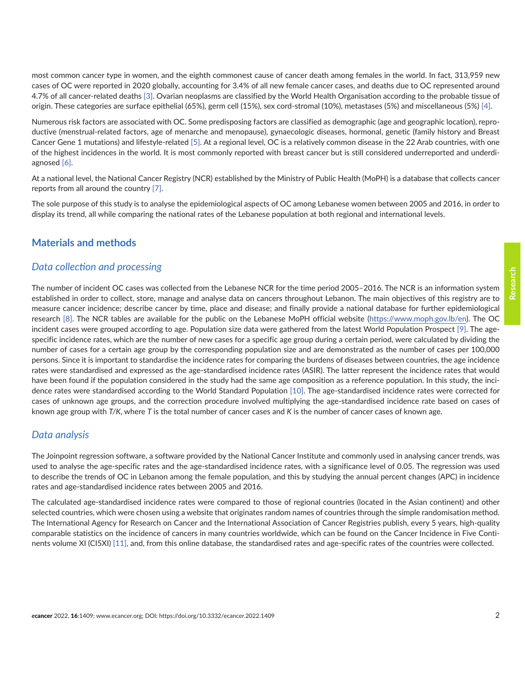most common cancer type in women, and the eighth commonest cause of cancer death among females in the world. In fact, 313,959 new cases of OC were reported in 2020 globally, accounting for 3.4% of all new female cancer cases, and deaths due to OC represented around 4.7% of all cancer-related deaths [\[3\]](#page-7-0). Ovarian neoplasms are classified by the World Health Organisation according to the probable tissue of origin. These categories are surface epithelial (65%), germ cell (15%), sex cord-stromal (10%), metastases (5%) and miscellaneous (5%) [\[4\]](#page-7-0).

Numerous risk factors are associated with OC. Some predisposing factors are classified as demographic (age and geographic location), reproductive (menstrual-related factors, age of menarche and menopause), gynaecologic diseases, hormonal, genetic (family history and Breast Cancer Gene 1 mutations) and lifestyle-related [\[5\]](#page-7-0). At a regional level, OC is a relatively common disease in the 22 Arab countries, with one of the highest incidences in the world. It is most commonly reported with breast cancer but is still considered underreported and underdiagnosed [\[6\].](#page-8-0)

At a national level, the National Cancer Registry (NCR) established by the Ministry of Public Health (MoPH) is a database that collects cancer reports from all around the country [\[7\]](#page-7-0).

The sole purpose of this study is to analyse the epidemiological aspects of OC among Lebanese women between 2005 and 2016, in order to display its trend, all while comparing the national rates of the Lebanese population at both regional and international levels.

#### **Materials and methods**

#### *Data collection and processing*

The number of incident OC cases was collected from the Lebanese NCR for the time period 2005–2016. The NCR is an information system established in order to collect, store, manage and analyse data on cancers throughout Lebanon. The main objectives of this registry are to measure cancer incidence; describe cancer by time, place and disease; and finally provide a national database for further epidemiological research [\[8\]](#page-7-0). The NCR tables are available for the public on the Lebanese MoPH official website [\(https://www.moph.gov.lb/en](https://www.moph.gov.lb/en)). The OC incident cases were grouped according to age. Population size data were gathered from the latest World Population Prospect [\[9\].](#page-7-0) The agespecific incidence rates, which are the number of new cases for a specific age group during a certain period, were calculated by dividing the number of cases for a certain age group by the corresponding population size and are demonstrated as the number of cases per 100,000 persons. Since it is important to standardise the incidence rates for comparing the burdens of diseases between countries, the age incidence rates were standardised and expressed as the age-standardised incidence rates (ASIR). The latter represent the incidence rates that would have been found if the population considered in the study had the same age composition as a reference population. In this study, the incidence rates were standardised according to the World Standard Population [\[10\]](#page-7-0). The age-standardised incidence rates were corrected for cases of unknown age groups, and the correction procedure involved multiplying the age-standardised incidence rate based on cases of known age group with *T/K*, where *T* is the total number of cancer cases and *K* is the number of cancer cases of known age.

#### *Data analysis*

The Joinpoint regression software, a software provided by the National Cancer Institute and commonly used in analysing cancer trends, was used to analyse the age-specific rates and the age-standardised incidence rates, with a significance level of 0.05. The regression was used to describe the trends of OC in Lebanon among the female population, and this by studying the annual percent changes (APC) in incidence rates and age-standardised incidence rates between 2005 and 2016.

The calculated age-standardised incidence rates were compared to those of regional countries (located in the Asian continent) and other selected countries, which were chosen using a website that originates random names of countries through the simple randomisation method. The International Agency for Research on Cancer and the International Association of Cancer Registries publish, every 5 years, high-quality comparable statistics on the incidence of cancers in many countries worldwide, which can be found on the Cancer Incidence in Five Conti-nents volume XI (CI5XI) [\[11\],](#page-7-0) and, from this online database, the standardised rates and age-specific rates of the countries were collected.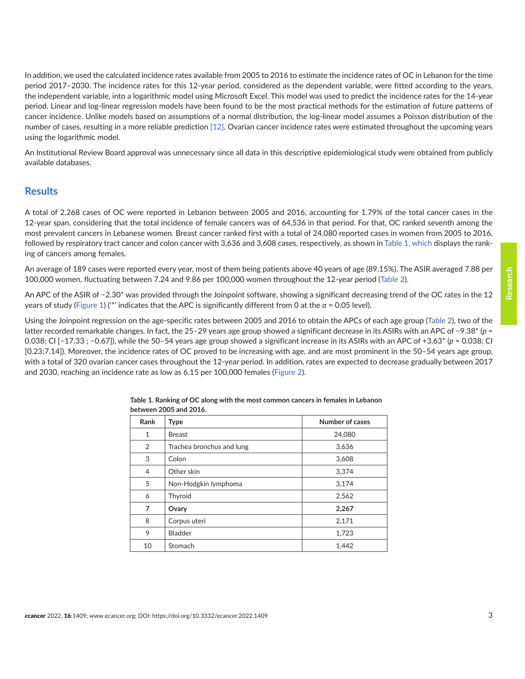<span id="page-2-0"></span>In addition, we used the calculated incidence rates available from 2005 to 2016 to estimate the incidence rates of OC in Lebanon for the time period 2017–2030. The incidence rates for this 12-year period, considered as the dependent variable, were fitted according to the years, the independent variable, into a logarithmic model using Microsoft Excel. This model was used to predict the incidence rates for the 14-year period. Linear and log-linear regression models have been found to be the most practical methods for the estimation of future patterns of cancer incidence. Unlike models based on assumptions of a normal distribution, the log-linear model assumes a Poisson distribution of the number of cases, resulting in a more reliable prediction [\[12\]](#page-7-0). Ovarian cancer incidence rates were estimated throughout the upcoming years using the logarithmic model.

An Institutional Review Board approval was unnecessary since all data in this descriptive epidemiological study were obtained from publicly available databases.

#### **Results**

A total of 2,268 cases of OC were reported in Lebanon between 2005 and 2016, accounting for 1.79% of the total cancer cases in the 12-year span, considering that the total incidence of female cancers was of 64,536 in that period. For that, OC ranked seventh among the most prevalent cancers in Lebanese women. Breast cancer ranked first with a total of 24,080 reported cases in women from 2005 to 2016, followed by respiratory tract cancer and colon cancer with 3,636 and 3,608 cases, respectively, as shown in Table 1, which displays the ranking of cancers among females.

An average of 189 cases were reported every year, most of them being patients above 40 years of age (89.15%). The ASIR averaged 7.88 per 100,000 women, fluctuating between 7.24 and 9.86 per 100,000 women throughout the 12-year period ([Table 2](#page-3-0)).

An APC of the ASIR of −2.30\* was provided through the Joinpoint software, showing a significant decreasing trend of the OC rates in the 12 years of study ([Figure 1](#page-4-0)) ('\*' indicates that the APC is significantly different from 0 at the *α* = 0.05 level).

Using the Joinpoint regression on the age-specific rates between 2005 and 2016 to obtain the APCs of each age group [\(Table 2](#page-3-0)), two of the latter recorded remarkable changes. In fact, the 25–29 years age group showed a significant decrease in its ASIRs with an APC of −9.38\* (*p* = 0.038; CI [−17.33 ; −0.67]), while the 50–54 years age group showed a significant increase in its ASIRs with an APC of +3.63\* (*p* = 0.038; CI [0.23;7.14]). Moreover, the incidence rates of OC proved to be increasing with age, and are most prominent in the 50–54 years age group, with a total of 320 ovarian cancer cases throughout the 12-year period. In addition, rates are expected to decrease gradually between 2017 and 2030, reaching an incidence rate as low as 6.15 per 100,000 females [\(Figure 2](#page-6-0)).

| Rank           | <b>Type</b>               | Number of cases |
|----------------|---------------------------|-----------------|
| $\mathbf{1}$   | <b>Breast</b>             | 24,080          |
| 2              | Trachea bronchus and lung | 3,636           |
| 3              | Colon                     | 3,608           |
| $\overline{4}$ | Other skin                | 3,374           |
| 5              | Non-Hodgkin lymphoma      | 3,174           |
| 6              | Thyroid                   | 2,562           |
| 7              | Ovary                     | 2,267           |
| 8              | Corpus uteri              | 2,171           |
| 9              | Bladder                   | 1,723           |
| 10             | Stomach                   | 1,442           |

**Table 1. Ranking of OC along with the most common cancers in females in Lebanon between 2005 and 2016.**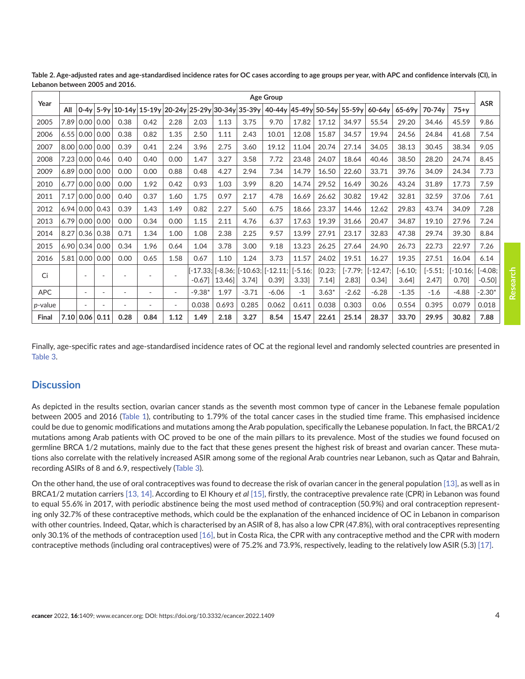| Year            |      |                          |        |                          |                          |                          |                      |                    |                       | Age Group          |                   |                |                   |                     |                |                    |                    | <b>ASR</b>            |
|-----------------|------|--------------------------|--------|--------------------------|--------------------------|--------------------------|----------------------|--------------------|-----------------------|--------------------|-------------------|----------------|-------------------|---------------------|----------------|--------------------|--------------------|-----------------------|
|                 | All  | $0-4v$                   | $5-9v$ | $10-14v$                 | $15-19y$                 | $20-24y$                 |                      |                    | 25-29y 30-34y 35-39y  | 40-44y             | 45-49y            | 50-54y         | 55-59y            | 60-64v              | 65-69v         | 70-74 <sub>v</sub> | $75+v$             |                       |
| 2005            | 7.89 | 0.00                     | 0.00   | 0.38                     | 0.42                     | 2.28                     | 2.03                 | 1.13               | 3.75                  | 9.70               | 17.82             | 17.12          | 34.97             | 55.54               | 29.20          | 34.46              | 45.59              | 9.86                  |
| 2006            | 6.55 | 0.00                     | 0.00   | 0.38                     | 0.82                     | 1.35                     | 2.50                 | 1.11               | 2.43                  | 10.01              | 12.08             | 15.87          | 34.57             | 19.94               | 24.56          | 24.84              | 41.68              | 7.54                  |
| 2007            | 8.00 | 0.00                     | 0.00   | 0.39                     | 0.41                     | 2.24                     | 3.96                 | 2.75               | 3.60                  | 19.12              | 11.04             | 20.74          | 27.14             | 34.05               | 38.13          | 30.45              | 38.34              | 9.05                  |
| 2008            | 7.23 | 0.00                     | 0.46   | 0.40                     | 0.40                     | 0.00                     | 1.47                 | 3.27               | 3.58                  | 7.72               | 23.48             | 24.07          | 18.64             | 40.46               | 38.50          | 28.20              | 24.74              | 8.45                  |
| 2009            | 6.89 | 0.00                     | 0.00   | 0.00                     | 0.00                     | 0.88                     | 0.48                 | 4.27               | 2.94                  | 7.34               | 14.79             | 16.50          | 22.60             | 33.71               | 39.76          | 34.09              | 24.34              | 7.73                  |
| 2010            | 6.77 | 0.00                     | 0.00   | 0.00                     | 1.92                     | 0.42                     | 0.93                 | 1.03               | 3.99                  | 8.20               | 14.74             | 29.52          | 16.49             | 30.26               | 43.24          | 31.89              | 17.73              | 7.59                  |
| 2011            | 7.17 | 0.00                     | 0.00   | 0.40                     | 0.37                     | 1.60                     | 1.75                 | 0.97               | 2.17                  | 4.78               | 16.69             | 26.62          | 30.82             | 19.42               | 32.81          | 32.59              | 37.06              | 7.61                  |
| 2012            |      | 6.94 0.00                | 0.43   | 0.39                     | 1.43                     | 1.49                     | 0.82                 | 2.27               | 5.60                  | 6.75               | 18.66             | 23.37          | 14.46             | 12.62               | 29.83          | 43.74              | 34.09              | 7.28                  |
| 2013            | 6.79 | 0.00                     | 0.00   | 0.00                     | 0.34                     | 0.00                     | 1.15                 | 2.11               | 4.76                  | 6.37               | 17.63             | 19.39          | 31.66             | 20.47               | 34.87          | 19.10              | 27.96              | 7.24                  |
| 2014            | 8.27 | 0.36                     | 0.38   | 0.71                     | 1.34                     | 1.00                     | 1.08                 | 2.38               | 2.25                  | 9.57               | 13.99             | 27.91          | 23.17             | 32.83               | 47.38          | 29.74              | 39.30              | 8.84                  |
| 2015            | 6.90 | 0.34                     | 0.00   | 0.34                     | 1.96                     | 0.64                     | 1.04                 | 3.78               | 3.00                  | 9.18               | 13.23             | 26.25          | 27.64             | 24.90               | 26.73          | 22.73              | 22.97              | 7.26                  |
| 2016            | 5.81 | 0.00                     | 0.00   | 0.00                     | 0.65                     | 1.58                     | 0.67                 | 1.10               | 1.24                  | 3.73               | 11.57             | 24.02          | 19.51             | 16.27               | 19.35          | 27.51              | 16.04              | 6.14                  |
| Ci              |      |                          |        |                          |                          |                          | [-17.33:]<br>$-0.67$ | [-8.36: l<br>13.46 | $-10.63:$<br>$3.74$ ] | $[-12.11]$<br>0.39 | $[-5.16:$<br>3.33 | [0.23;<br>7.14 | $[-7.79;$<br>2.83 | $[-12.47]$<br>0.34] | -6.10:<br>3.64 | $[-5.51;$<br>2.47  | $[-10.16]$<br>0.70 | $-4.08:$<br>$-0.50$ ] |
| <b>APC</b>      |      | $\overline{\phantom{a}}$ |        |                          |                          | $\overline{\phantom{a}}$ | $-9.38*$             | 1.97               | $-3.71$               | $-6.06$            | $-1$              | $3.63*$        | $-2.62$           | $-6.28$             | $-1.35$        | $-1.6$             | $-4.88$            | $-2.30*$              |
| <i>p</i> -value |      | $\overline{\phantom{a}}$ |        | $\overline{\phantom{a}}$ | $\overline{\phantom{a}}$ | $\overline{\phantom{a}}$ | 0.038                | 0.693              | 0.285                 | 0.062              | 0.611             | 0.038          | 0.303             | 0.06                | 0.554          | 0.395              | 0.079              | 0.018                 |
| Final           | 7.10 | 0.06                     | 0.11   | 0.28                     | 0.84                     | 1.12                     | 1.49                 | 2.18               | 3.27                  | 8.54               | 15.47             | 22.61          | 25.14             | 28.37               | 33.70          | 29.95              | 30.82              | 7.88                  |

<span id="page-3-0"></span>**Table 2. Age-adjusted rates and age-standardised incidence rates for OC cases according to age groups per year, with APC and confidence intervals (CI), in Lebanon between 2005 and 2016.**

Finally, age-specific rates and age-standardised incidence rates of OC at the regional level and randomly selected countries are presented in [Table 3](#page-4-0).

#### **Discussion**

As depicted in the results section, ovarian cancer stands as the seventh most common type of cancer in the Lebanese female population between 2005 and 2016 [\(Table 1](#page-2-0)), contributing to 1.79% of the total cancer cases in the studied time frame. This emphasised incidence could be due to genomic modifications and mutations among the Arab population, specifically the Lebanese population. In fact, the BRCA1/2 mutations among Arab patients with OC proved to be one of the main pillars to its prevalence. Most of the studies we found focused on germline BRCA 1/2 mutations, mainly due to the fact that these genes present the highest risk of breast and ovarian cancer. These mutations also correlate with the relatively increased ASIR among some of the regional Arab countries near Lebanon, such as Qatar and Bahrain, recording ASIRs of 8 and 6.9, respectively ([Table 3\)](#page-4-0).

On the other hand, the use of oral contraceptives was found to decrease the risk of ovarian cancer in the general population [\[13\]](#page-7-0), as well as in BRCA1/2 mutation carriers [\[13,](#page-7-0) [14\]](#page-8-0). According to El Khoury *et al* [\[15\],](#page-8-0) firstly, the contraceptive prevalence rate (CPR) in Lebanon was found to equal 55.6% in 2017, with periodic abstinence being the most used method of contraception (50.9%) and oral contraception representing only 32.7% of these contraceptive methods, which could be the explanation of the enhanced incidence of OC in Lebanon in comparison with other countries. Indeed, Qatar, which is characterised by an ASIR of 8, has also a low CPR (47.8%), with oral contraceptives representing only 30.1% of the methods of contraception used [\[16\],](#page-8-0) but in Costa Rica, the CPR with any contraceptive method and the CPR with modern contraceptive methods (including oral contraceptives) were of 75.2% and 73.9%, respectively, leading to the relatively low ASIR (5.3) [\[17\].](#page-8-0)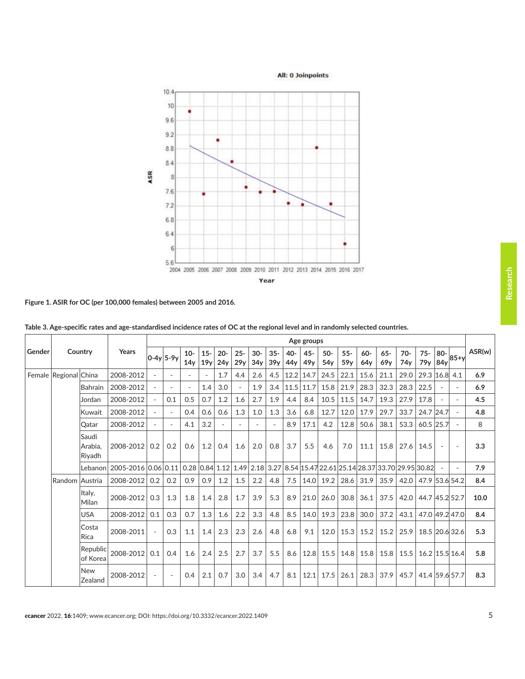<span id="page-4-0"></span>**All: 0 Joinpoints**  $10.4$  $10$  $9.6$  $9.2$ 8.8  $8.4$ ASR 8  $7.6$  $7.2$ 6.8 6.4 6 5.6 2004 2005 2006 2007 2008 2009 2010 2011 2012 2013 2014 2015 2016 2017 Year

**Figure 1. ASIR for OC (per 100,000 females) between 2005 and 2016.** 

|        | Country               |                            |                     | Age groups |                          |                          |               |               |                          |              |               |            |               |                           |               |              |                                                                                                                                                                                      |              |                           |            |        |        |
|--------|-----------------------|----------------------------|---------------------|------------|--------------------------|--------------------------|---------------|---------------|--------------------------|--------------|---------------|------------|---------------|---------------------------|---------------|--------------|--------------------------------------------------------------------------------------------------------------------------------------------------------------------------------------|--------------|---------------------------|------------|--------|--------|
| Gender |                       |                            | Years               |            | $0-4y$ 5-9y              | $10-$<br>14 <sub>V</sub> | $15 -$<br>19y | $20 -$<br>24y | $25 -$<br>29y            | $30-$<br>34y | $35 -$<br>39y | 40-<br>44y | $45 -$<br>49y | $50 -$<br>54 <sub>v</sub> | $55 -$<br>59v | $60-$<br>64v | $65 -$<br>69v                                                                                                                                                                        | $70-$<br>74v | $75 -$<br>79 <sub>y</sub> | 80-<br>84y | $85+y$ | ASR(w) |
|        | Female Regional China |                            | 2008-2012           |            |                          |                          |               | 1.7           | 4.4                      | 2.6          | 4.5           | 12.2       | 14.7          | 24.5                      | 22.1          | 15.6         | 21.1                                                                                                                                                                                 | 29.0         | 29.3 16.8                 |            | 4.1    | 6.9    |
|        |                       | Bahrain                    | 2008-2012           |            | $\overline{\phantom{0}}$ | $\overline{a}$           | 1.4           | 3.0           | $\overline{\phantom{a}}$ | 1.9          | 3.4           | 11.5       | 11.7          | 15.8                      | 21.9          | 28.3         | 32.3                                                                                                                                                                                 | 28.3         | 22.5                      |            |        | 6.9    |
|        |                       | Jordan                     | 2008-2012           |            | 0.1                      | 0.5                      | 0.7           | 1.2           | 1.6                      | 2.7          | 1.9           | 4.4        | 8.4           | 10.5                      | 11.5          | 14.7         | 19.3                                                                                                                                                                                 | 27.9         | 17.8                      |            |        | 4.5    |
|        |                       | Kuwait                     | 2008-2012           |            |                          | 0.4                      | 0.6           | 0.6           | 1.3                      | 1.0          | 1.3           | 3.6        | 6.8           | 12.7                      | 12.0          | 17.9         | 29.7                                                                                                                                                                                 | 33.7         | 24.7 24.7                 |            |        | 4.8    |
|        |                       | Qatar                      | 2008-2012           |            |                          | 4.1                      | 3.2           |               | $\overline{\phantom{0}}$ |              |               | 8.9        | 17.1          | 4.2                       | 12.8          | 50.6         | 38.1                                                                                                                                                                                 | 53.3         | 60.5 25.7                 |            |        | 8      |
|        |                       | Saudi<br>Arabia.<br>Riyadh | 2008-2012           | 0.2        | 0.2                      | 0.6                      | 1.2           | 0.4           | 1.6                      | 2.0          | 0.8           | 3.7        | 5.5           | 4.6                       | 7.0           | 11.1         | 15.8                                                                                                                                                                                 | 27.6         | 14.5                      |            |        | 3.3    |
|        |                       | Lebanon                    | 2005-2016 0.06 0.11 |            |                          |                          |               |               |                          |              |               |            |               |                           |               |              | $\vert$ 0.28 $\vert$ 0.84 $\vert$ 1.12 $\vert$ 1.49 $\vert$ 2.18 $\vert$ 3.27 $\vert$ 8.54 $\vert$ 15.47 22.61 $\vert$ 25.14 $\vert$ 28.37 $\vert$ 33.70 $\vert$ 29.95 $\vert$ 30.82 |              |                           |            |        | 7.9    |
|        | Random Austria        |                            | 2008-2012           | 0.2        | 0.2                      | 0.9                      | 0.9           | 1.2           | 1.5                      | 2.2          | 4.8           | 7.5        | 14.0          | 19.2                      | 28.6          | 31.9         | 35.9                                                                                                                                                                                 | 42.0         | 47.9 53.6                 |            | 54.2   | 8.4    |
|        |                       | Italy,<br>Milan            | 2008-2012           | 0.3        | 1.3                      | 1.8                      | 1.4           | 2.8           | 1.7                      | 3.9          | 5.3           | 8.9        | 21.0          | 26.0                      | 30.8          | 36.1         | 37.5                                                                                                                                                                                 | 42.0         | 44.7 45.2 52.7            |            |        | 10.0   |
|        |                       | <b>USA</b>                 | 2008-2012           | 0.1        | 0.3                      | 0.7                      | 1.3           | 1.6           | 2.2                      | 3.3          | 4.8           | 8.5        | 14.0          | 19.3                      | 23.8          | 30.0         | 37.2                                                                                                                                                                                 | 43.1         | 47.0 49.2 47.0            |            |        | 8.4    |
|        |                       | Costa<br><b>Rica</b>       | 2008-2011           |            | 0.3                      | 1.1                      | 1.4           | 2.3           | 2.3                      | 2.6          | 4.8           | 6.8        | 9.1           | 12.0                      | 15.3          | 15.2         | 15.2                                                                                                                                                                                 | 25.9         | 18.5 20.6 32.6            |            |        | 5.3    |
|        |                       | Republic<br>of Korea       | 2008-2012           | 0.1        | 0.4                      | 1.6                      | 2.4           | 2.5           | 2.7                      | 3.7          | 5.5           | 8.6        | 12.8          | 15.5                      | 14.8          | 15.8         | 15.8                                                                                                                                                                                 | 15.5         | 16.2 15.5 16.4            |            |        | 5.8    |
|        |                       | <b>New</b><br>Zealand      | 2008-2012           |            |                          | 0.4                      | 2.1           | 0.7           | 3.0                      | 3.4          | 4.7           | 8.1        | 12.1          | 17.5                      | 26.1          | 28.3         | 37.9                                                                                                                                                                                 | 45.7         | 41.4 59.6 57.7            |            |        | 8.3    |

**Table 3. Age-specific rates and age-standardised incidence rates of OC at the regional level and in randomly selected countries.**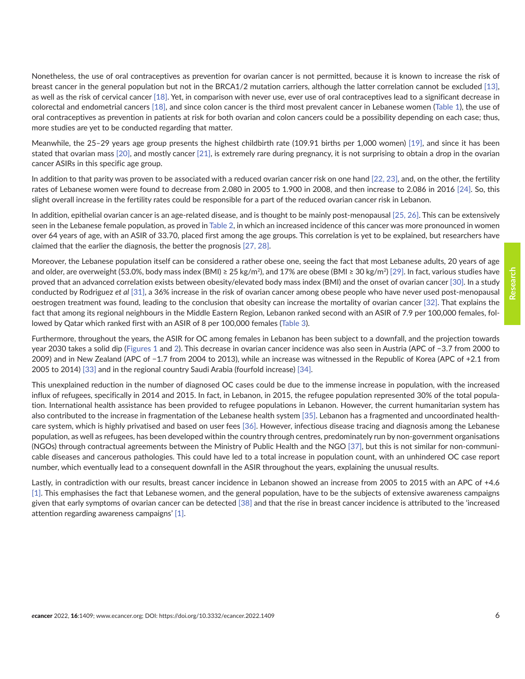Nonetheless, the use of oral contraceptives as prevention for ovarian cancer is not permitted, because it is known to increase the risk of breast cancer in the general population but not in the BRCA1/2 mutation carriers, although the latter correlation cannot be excluded [\[13\],](#page-7-0) as well as the risk of cervical cancer [\[18\]](#page-8-0). Yet, in comparison with never use, ever use of oral contraceptives lead to a significant decrease in colorectal and endometrial cancers [\[18\]](#page-8-0), and since colon cancer is the third most prevalent cancer in Lebanese women ([Table 1](#page-2-0)), the use of oral contraceptives as prevention in patients at risk for both ovarian and colon cancers could be a possibility depending on each case; thus, more studies are yet to be conducted regarding that matter.

Meanwhile, the 25–29 years age group presents the highest childbirth rate (109.91 births per 1,000 women) [\[19\],](#page-8-0) and since it has been stated that ovarian mass [\[20\],](#page-8-0) and mostly cancer [\[21\],](#page-8-0) is extremely rare during pregnancy, it is not surprising to obtain a drop in the ovarian cancer ASIRs in this specific age group.

In addition to that parity was proven to be associated with a reduced ovarian cancer risk on one hand [\[22, 23\],](#page-8-0) and, on the other, the fertility rates of Lebanese women were found to decrease from 2.080 in 2005 to 1.900 in 2008, and then increase to 2.086 in 2016 [\[24\]](#page-8-0). So, this slight overall increase in the fertility rates could be responsible for a part of the reduced ovarian cancer risk in Lebanon.

In addition, epithelial ovarian cancer is an age-related disease, and is thought to be mainly post-menopausal [\[25, 26\].](#page-8-0) This can be extensively seen in the Lebanese female population, as proved in [Table 2](#page-3-0), in which an increased incidence of this cancer was more pronounced in women over 64 years of age, with an ASIR of 33.70, placed first among the age groups. This correlation is yet to be explained, but researchers have claimed that the earlier the diagnosis, the better the prognosis [\[27, 28\]](#page-8-0).

Moreover, the Lebanese population itself can be considered a rather obese one, seeing the fact that most Lebanese adults, 20 years of age and older, are overweight (53.0%, body mass index (BMI) ≥ 25 kg/m<sup>2</sup>), and 17% are obese (BMI ≥ 30 kg/m<sup>2</sup>) [\[29\]](#page-8-0). In fact, various studies have proved that an advanced correlation exists between obesity/elevated body mass index (BMI) and the onset of ovarian cancer [\[30\].](#page-9-0) In a study conducted by Rodriguez *et al* [\[31\],](#page-9-0) a 36% increase in the risk of ovarian cancer among obese people who have never used post-menopausal oestrogen treatment was found, leading to the conclusion that obesity can increase the mortality of ovarian cancer [\[32\]](#page-9-0). That explains the fact that among its regional neighbours in the Middle Eastern Region, Lebanon ranked second with an ASIR of 7.9 per 100,000 females, followed by Qatar which ranked first with an ASIR of 8 per 100,000 females ([Table 3\)](#page-4-0).

Furthermore, throughout the years, the ASIR for OC among females in Lebanon has been subject to a downfall, and the projection towards year 2030 takes a solid dip ([Figures 1](#page-4-0) and [2](#page-6-0)). This decrease in ovarian cancer incidence was also seen in Austria (APC of −3.7 from 2000 to 2009) and in New Zealand (APC of −1.7 from 2004 to 2013), while an increase was witnessed in the Republic of Korea (APC of +2.1 from 2005 to 2014) [\[33\]](#page-9-0) and in the regional country Saudi Arabia (fourfold increase) [\[34\].](#page-9-0)

This unexplained reduction in the number of diagnosed OC cases could be due to the immense increase in population, with the increased influx of refugees, specifically in 2014 and 2015. In fact, in Lebanon, in 2015, the refugee population represented 30% of the total population. International health assistance has been provided to refugee populations in Lebanon. However, the current humanitarian system has also contributed to the increase in fragmentation of the Lebanese health system [\[35\]](#page-9-0). Lebanon has a fragmented and uncoordinated healthcare system, which is highly privatised and based on user fees [\[36\].](#page-9-0) However, infectious disease tracing and diagnosis among the Lebanese population, as well as refugees, has been developed within the country through centres, predominately run by non-government organisations (NGOs) through contractual agreements between the Ministry of Public Health and the NGO [\[37\]](#page-9-0), but this is not similar for non-communicable diseases and cancerous pathologies. This could have led to a total increase in population count, with an unhindered OC case report number, which eventually lead to a consequent downfall in the ASIR throughout the years, explaining the unusual results.

Lastly, in contradiction with our results, breast cancer incidence in Lebanon showed an increase from 2005 to 2015 with an APC of +4.6 [\[1\].](#page-7-0) This emphasises the fact that Lebanese women, and the general population, have to be the subjects of extensive awareness campaigns given that early symptoms of ovarian cancer can be detected [\[38\]](#page-9-0) and that the rise in breast cancer incidence is attributed to the 'increased attention regarding awareness campaigns' [\[1\].](#page-7-0)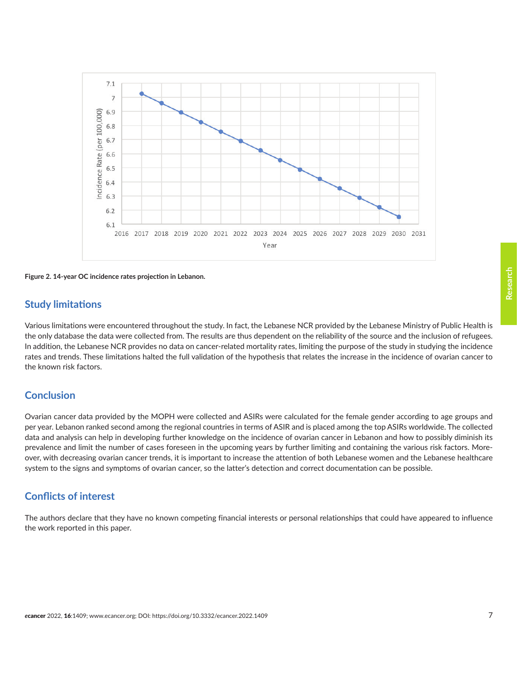<span id="page-6-0"></span>

**Figure 2. 14-year OC incidence rates projection in Lebanon.**

#### **Study limitations**

Various limitations were encountered throughout the study. In fact, the Lebanese NCR provided by the Lebanese Ministry of Public Health is the only database the data were collected from. The results are thus dependent on the reliability of the source and the inclusion of refugees. In addition, the Lebanese NCR provides no data on cancer-related mortality rates, limiting the purpose of the study in studying the incidence rates and trends. These limitations halted the full validation of the hypothesis that relates the increase in the incidence of ovarian cancer to the known risk factors.

#### **Conclusion**

Ovarian cancer data provided by the MOPH were collected and ASIRs were calculated for the female gender according to age groups and per year. Lebanon ranked second among the regional countries in terms of ASIR and is placed among the top ASIRs worldwide. The collected data and analysis can help in developing further knowledge on the incidence of ovarian cancer in Lebanon and how to possibly diminish its prevalence and limit the number of cases foreseen in the upcoming years by further limiting and containing the various risk factors. Moreover, with decreasing ovarian cancer trends, it is important to increase the attention of both Lebanese women and the Lebanese healthcare system to the signs and symptoms of ovarian cancer, so the latter's detection and correct documentation can be possible.

## **Conflicts of interest**

The authors declare that they have no known competing financial interests or personal relationships that could have appeared to influence the work reported in this paper.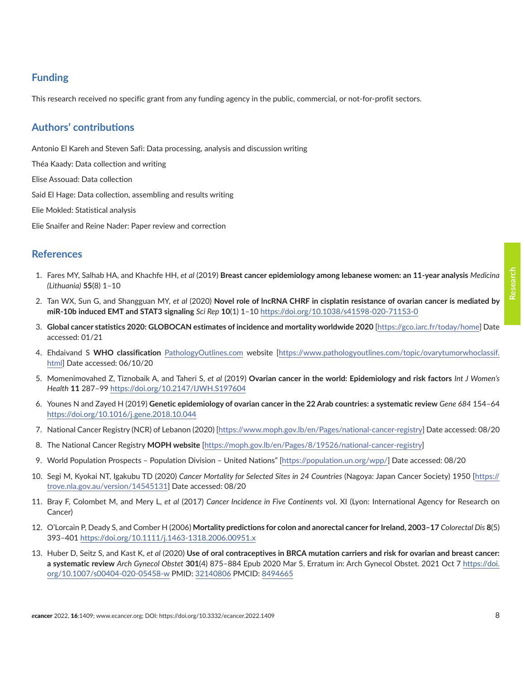# <span id="page-7-0"></span>**Funding**

This research received no specific grant from any funding agency in the public, commercial, or not-for-profit sectors.

# **Authors' contributions**

Antonio El Kareh and Steven Safi: Data processing, analysis and discussion writing

Théa Kaady: Data collection and writing

Elise Assouad: Data collection

Said El Hage: Data collection, assembling and results writing

Elie Mokled: Statistical analysis

Elie Snaifer and Reine Nader: Paper review and correction

## **References**

- 1. Fares MY, Salhab HA, and Khachfe HH, *et al* (2019) **Breast cancer epidemiology among lebanese women: an 11-year analysis** *Medicina (Lithuania)* **55**(8) 1–10
- 2. Tan WX, Sun G, and Shangguan MY, *et al* (2020) **Novel role of lncRNA CHRF in cisplatin resistance of ovarian cancer is mediated by miR-10b induced EMT and STAT3 signaling** *Sci Rep* **10**(1) 1–10 <https://doi.org/10.1038/s41598-020-71153-0>
- 3. **Global cancer statistics 2020: GLOBOCAN estimates of incidence and mortality worldwide 2020** [<https://gco.iarc.fr/today/home>] Date accessed: 01/21
- 4. Ehdaivand S **WHO classification** [PathologyOutlines.com](http://PathologyOutlines.com) website [\[https://www.pathologyoutlines.com/topic/ovarytumorwhoclassif.](https://www.pathologyoutlines.com/topic/ovarytumorwhoclassif.html) [html\]](https://www.pathologyoutlines.com/topic/ovarytumorwhoclassif.html) Date accessed: 06/10/20
- 5. Momenimovahed Z, Tiznobaik A, and Taheri S, *et al* (2019) **Ovarian cancer in the world: Epidemiology and risk factors** *Int J Women's Health* **11** 287–99 <https://doi.org/10.2147/IJWH.S197604>
- 6. Younes N and Zayed H (2019) **Genetic epidemiology of ovarian cancer in the 22 Arab countries: a systematic review** *Gene 684* 154–64 <https://doi.org/10.1016/j.gene.2018.10.044>
- 7. [National Cancer Registry \(NCR\) of Lebanon](https://www.moph.gov.lb/en/Pages/national-cancer-registry?utm_medium=email&utm_source=transaction) (2020) [\[https://www.moph.gov.lb/en/Pages/national-cancer-registry\]](https://www.moph.gov.lb/en/Pages/national-cancer-registry?utm_medium=email&utm_source=transaction) Date accessed: 08/20
- 8. The National Cancer Registry **MOPH website** [<https://moph.gov.lb/en/Pages/8/19526/national-cancer-registry>]
- 9. World Population Prospects Population Division United Nations" [<https://population.un.org/wpp/>] Date accessed: 08/20
- 10. Segi M, Kyokai NT, Igakubu TD (2020) *Cancer Mortality for Selected Sites in 24 Countries* (Nagoya: Japan Cancer Society) 1950 [\[https://](https://trove.nla.gov.au/version/14545131) [trove.nla.gov.au/version/14545131\]](https://trove.nla.gov.au/version/14545131) Date accessed: 08/20
- 11. Bray F, Colombet M, and Mery L, *et al* (2017) *Cancer Incidence in Five Continents* vol. XI (Lyon: International Agency for Research on Cancer)
- 12. O'Lorcain P, Deady S, and Comber H (2006) **Mortality predictions for colon and anorectal cancer for Ireland, 2003–17** *Colorectal Dis* **8**(5) 393–401 <https://doi.org/10.1111/j.1463-1318.2006.00951.x>
- 13. Huber D, Seitz S, and Kast K, *et al* (2020) **Use of oral contraceptives in BRCA mutation carriers and risk for ovarian and breast cancer: a systematic review** *Arch Gynecol Obstet* **301**(4) 875–884 Epub 2020 Mar 5. Erratum in: Arch Gynecol Obstet. 2021 Oct 7 [https://doi.](https://doi.org/10.1007/s00404-020-05458-w) [org/10.1007/s00404-020-05458-w](https://doi.org/10.1007/s00404-020-05458-w) PMID: [32140806](http://www.ncbi.nlm.nih.gov/pubmed/32140806) PMCID: [8494665](http://www.ncbi.nlm.nih.gov/pmc/articles/PMC8494665)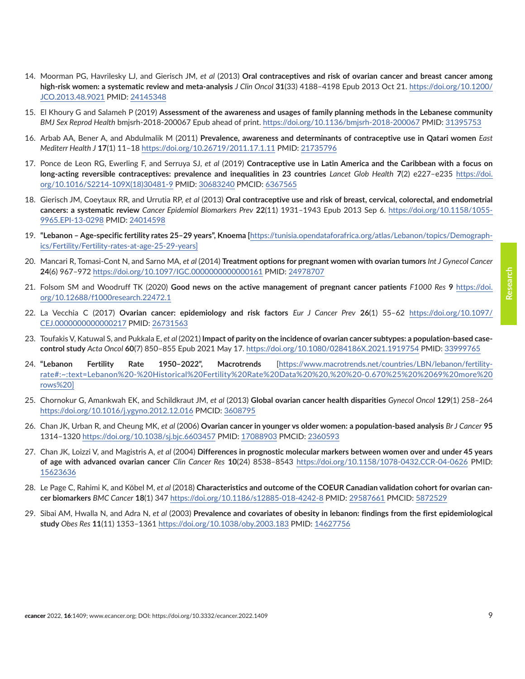- <span id="page-8-0"></span>14. Moorman PG, Havrilesky LJ, and Gierisch JM, *et al* (2013) **Oral contraceptives and risk of ovarian cancer and breast cancer among high-risk women: a systematic review and meta-analysis** *J Clin Oncol* **31**(33) 4188–4198 Epub 2013 Oct 21. [https://doi.org/10.1200/](https://doi.org/10.1200/JCO.2013.48.9021) [JCO.2013.48.9021](https://doi.org/10.1200/JCO.2013.48.9021) PMID: [24145348](http://www.ncbi.nlm.nih.gov/pubmed/24145348)
- 15. El Khoury G and Salameh P (2019) **Assessment of the awareness and usages of family planning methods in the Lebanese community** *BMJ Sex Reprod Health* bmjsrh-2018-200067 Epub ahead of print. <https://doi.org/10.1136/bmjsrh-2018-200067>PMID: [31395753](http://www.ncbi.nlm.nih.gov/pubmed/31395753)
- 16. Arbab AA, Bener A, and Abdulmalik M (2011) **Prevalence, awareness and determinants of contraceptive use in Qatari women** *East Mediterr Health J* **17**(1) 11–18<https://doi.org/10.26719/2011.17.1.11> PMID: [21735796](http://www.ncbi.nlm.nih.gov/pubmed/21735796)
- 17. Ponce de Leon RG, Ewerling F, and Serruya SJ, *et al* (2019) **Contraceptive use in Latin America and the Caribbean with a focus on long-acting reversible contraceptives: prevalence and inequalities in 23 countries** *Lancet Glob Health* **7**(2) e227–e235 [https://doi.](https://doi.org/10.1016/S2214-109X(18)30481-9) [org/10.1016/S2214-109X\(18\)30481-9](https://doi.org/10.1016/S2214-109X(18)30481-9) PMID: [30683240](http://www.ncbi.nlm.nih.gov/pubmed/30683240) PMCID: [6367565](http://www.ncbi.nlm.nih.gov/pmc/articles/PMC6367565)
- 18. Gierisch JM, Coeytaux RR, and Urrutia RP, *et al* (2013) **Oral contraceptive use and risk of breast, cervical, colorectal, and endometrial cancers: a systematic review** *Cancer Epidemiol Biomarkers Prev* **22**(11) 1931–1943 Epub 2013 Sep 6. [https://doi.org/10.1158/1055-](https://doi.org/10.1158/1055-9965.EPI-13-0298) [9965.EPI-13-0298](https://doi.org/10.1158/1055-9965.EPI-13-0298) PMID: [24014598](http://www.ncbi.nlm.nih.gov/pubmed/24014598)
- 19. **"Lebanon Age-specific fertility rates 25–29 years", Knoema [**[https://tunisia.opendataforafrica.org/atlas/Lebanon/topics/Demograph](https://tunisia.opendataforafrica.org/atlas/Lebanon/topics/Demographics/Fertility/Fertility-rates-at-age-25-29-years)[ics/Fertility/Fertility-rates-at-age-25-29-years](https://tunisia.opendataforafrica.org/atlas/Lebanon/topics/Demographics/Fertility/Fertility-rates-at-age-25-29-years)]
- 20. Mancari R, Tomasi-Cont N, and Sarno MA, *et al* (2014) **Treatment options for pregnant women with ovarian tumors** *Int J Gynecol Cancer* **24**(6) 967–972 <https://doi.org/10.1097/IGC.0000000000000161>PMID: [24978707](http://www.ncbi.nlm.nih.gov/pubmed/24978707)
- 21. Folsom SM and Woodruff TK (2020) **Good news on the active management of pregnant cancer patients** *F1000 Res* **9** [https://doi.](https://doi.org/10.12688/f1000research.22472.1) [org/10.12688/f1000research.22472.1](https://doi.org/10.12688/f1000research.22472.1)
- 22. La Vecchia C (2017) **Ovarian cancer: epidemiology and risk factors** *Eur J Cancer Prev* **26**(1) 55–62 [https://doi.org/10.1097/](https://doi.org/10.1097/CEJ.0000000000000217) [CEJ.0000000000000217](https://doi.org/10.1097/CEJ.0000000000000217) PMID: [26731563](http://www.ncbi.nlm.nih.gov/pubmed/26731563)
- 23. Toufakis V, Katuwal S, and Pukkala E, *et al* (2021) **Impact of parity on the incidence of ovarian cancer subtypes: a population-based casecontrol study** *Acta Oncol* **60**(7) 850–855 Epub 2021 May 17.<https://doi.org/10.1080/0284186X.2021.1919754>PMID: [33999765](http://www.ncbi.nlm.nih.gov/pubmed/33999765)
- 24. **"Lebanon Fertility Rate 1950–2022", Macrotrends** [\[https://www.macrotrends.net/countries/LBN/lebanon/fertility](https://www.macrotrends.net/countries/LBN/lebanon/fertility-rate#:~:text=Lebanon  Historical Fertility Rate Data  ,  -0.670%25  69 more rows )[rate#:~:text=Lebanon%20-%20Historical%20Fertility%20Rate%20Data%20%20,%20%20-0.670%25%20%2069%20more%20](https://www.macrotrends.net/countries/LBN/lebanon/fertility-rate#:~:text=Lebanon - Historical Fertility Rate Data  ,  -0.670%25  69 more rows ) [rows%20\]](https://www.macrotrends.net/countries/LBN/lebanon/fertility-rate#:~:text=Lebanon - Historical Fertility Rate Data  ,  -0.670%25  69 more rows )
- 25. Chornokur G, Amankwah EK, and Schildkraut JM, *et al* (2013) **Global ovarian cancer health disparities** *Gynecol Oncol* **129**(1) 258–264 <https://doi.org/10.1016/j.ygyno.2012.12.016>PMCID: [3608795](http://www.ncbi.nlm.nih.gov/pmc/articles/PMC3608795)
- 26. Chan JK, Urban R, and Cheung MK, *et al* (2006) **Ovarian cancer in younger vs older women: a population-based analysis** *Br J Cancer* **95** 1314–1320<https://doi.org/10.1038/sj.bjc.6603457>PMID: [17088903](http://www.ncbi.nlm.nih.gov/pubmed/17088903) PMCID: [2360593](http://www.ncbi.nlm.nih.gov/pmc/articles/PMC2360593)
- 27. Chan JK, Loizzi V, and Magistris A, *et al* (2004) **Differences in prognostic molecular markers between women over and under 45 years of age with advanced ovarian cancer** *Clin Cancer Res* **10**(24) 8538–8543 <https://doi.org/10.1158/1078-0432.CCR-04-0626>PMID: [15623636](http://www.ncbi.nlm.nih.gov/pubmed/15623636)
- 28. Le Page C, Rahimi K, and Köbel M, *et al* (2018) **Characteristics and outcome of the COEUR Canadian validation cohort for ovarian cancer biomarkers** *BMC Cancer* **18**(1) 347 <https://doi.org/10.1186/s12885-018-4242-8> PMID: [29587661](http://www.ncbi.nlm.nih.gov/pubmed/29587661) PMCID: [5872529](http://www.ncbi.nlm.nih.gov/pmc/articles/PMC5872529)
- 29. Sibai AM, Hwalla N, and Adra N, *et al* (2003) **Prevalence and covariates of obesity in lebanon: findings from the first epidemiological study** *Obes Res* **11**(11) 1353–1361<https://doi.org/10.1038/oby.2003.183> PMID: [14627756](http://www.ncbi.nlm.nih.gov/pubmed/14627756)